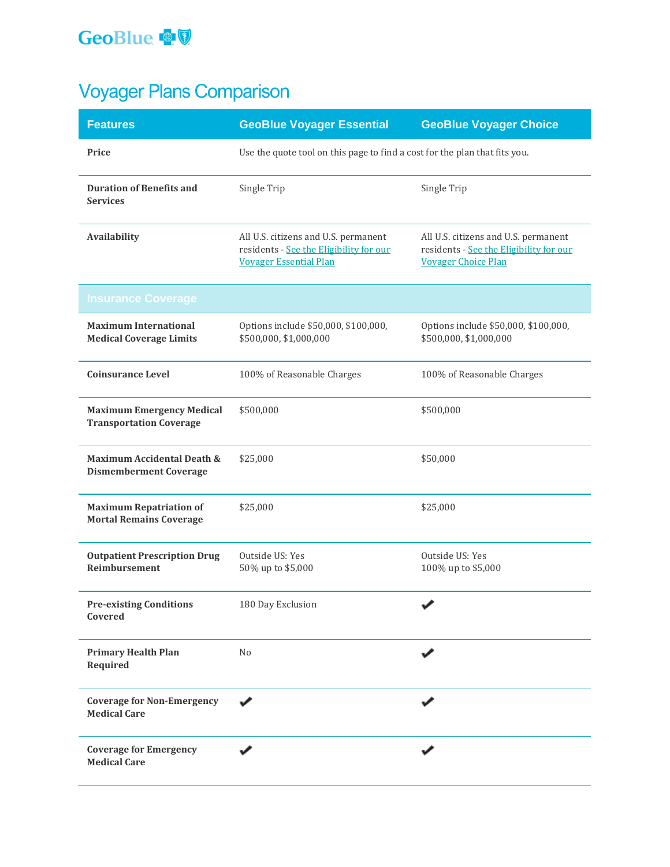## GeoBlue **o**

# Voyager Plans Comparison

| <b>Features</b>                                                    | <b>GeoBlue Voyager Essential</b>                                                                                 | <b>GeoBlue Voyager Choice</b>                                                                                 |
|--------------------------------------------------------------------|------------------------------------------------------------------------------------------------------------------|---------------------------------------------------------------------------------------------------------------|
| Price                                                              | Use the quote tool on this page to find a cost for the plan that fits you.                                       |                                                                                                               |
| <b>Duration of Benefits and</b><br><b>Services</b>                 | Single Trip                                                                                                      | Single Trip                                                                                                   |
| Availability                                                       | All U.S. citizens and U.S. permanent<br>residents - See the Eligibility for our<br><b>Voyager Essential Plan</b> | All U.S. citizens and U.S. permanent<br>residents - See the Eligibility for our<br><b>Voyager Choice Plan</b> |
| <b>Insurance Coverage</b>                                          |                                                                                                                  |                                                                                                               |
| <b>Maximum International</b><br><b>Medical Coverage Limits</b>     | Options include \$50,000, \$100,000,<br>\$500,000, \$1,000,000                                                   | Options include \$50,000, \$100,000,<br>\$500,000, \$1,000,000                                                |
| <b>Coinsurance Level</b>                                           | 100% of Reasonable Charges                                                                                       | 100% of Reasonable Charges                                                                                    |
| <b>Maximum Emergency Medical</b><br><b>Transportation Coverage</b> | \$500,000                                                                                                        | \$500,000                                                                                                     |
| Maximum Accidental Death &<br><b>Dismemberment Coverage</b>        | \$25,000                                                                                                         | \$50,000                                                                                                      |
| <b>Maximum Repatriation of</b><br><b>Mortal Remains Coverage</b>   | \$25,000                                                                                                         | \$25,000                                                                                                      |
| <b>Outpatient Prescription Drug</b><br><b>Reimbursement</b>        | Outside US: Yes<br>50% up to \$5,000                                                                             | Outside US: Yes<br>100% up to \$5,000                                                                         |
| <b>Pre-existing Conditions</b><br>Covered                          | 180 Day Exclusion                                                                                                |                                                                                                               |
| <b>Primary Health Plan</b><br>Required                             | N <sub>o</sub>                                                                                                   |                                                                                                               |
| <b>Coverage for Non-Emergency</b><br><b>Medical Care</b>           |                                                                                                                  |                                                                                                               |
| <b>Coverage for Emergency</b><br><b>Medical Care</b>               |                                                                                                                  |                                                                                                               |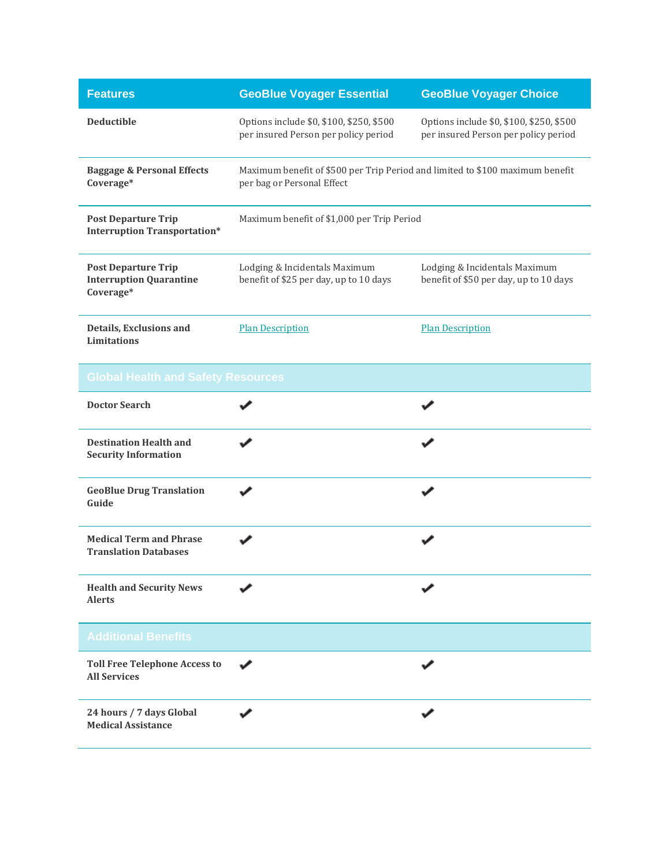| <b>Features</b>                                                           | <b>GeoBlue Voyager Essential</b>                                                                            | <b>GeoBlue Voyager Choice</b>                                                    |  |
|---------------------------------------------------------------------------|-------------------------------------------------------------------------------------------------------------|----------------------------------------------------------------------------------|--|
| <b>Deductible</b>                                                         | Options include \$0, \$100, \$250, \$500<br>per insured Person per policy period                            | Options include \$0, \$100, \$250, \$500<br>per insured Person per policy period |  |
| <b>Baggage &amp; Personal Effects</b><br>Coverage*                        | Maximum benefit of \$500 per Trip Period and limited to \$100 maximum benefit<br>per bag or Personal Effect |                                                                                  |  |
| <b>Post Departure Trip</b><br><b>Interruption Transportation*</b>         | Maximum benefit of \$1,000 per Trip Period                                                                  |                                                                                  |  |
| <b>Post Departure Trip</b><br><b>Interruption Quarantine</b><br>Coverage* | Lodging & Incidentals Maximum<br>benefit of \$25 per day, up to 10 days                                     | Lodging & Incidentals Maximum<br>benefit of \$50 per day, up to 10 days          |  |
| Details, Exclusions and<br><b>Limitations</b>                             | <b>Plan Description</b>                                                                                     | <b>Plan Description</b>                                                          |  |
| <b>Global Health and Safety Resources</b>                                 |                                                                                                             |                                                                                  |  |
| <b>Doctor Search</b>                                                      |                                                                                                             |                                                                                  |  |
| <b>Destination Health and</b><br><b>Security Information</b>              |                                                                                                             |                                                                                  |  |
| <b>GeoBlue Drug Translation</b><br>Guide                                  |                                                                                                             |                                                                                  |  |
| <b>Medical Term and Phrase</b><br><b>Translation Databases</b>            |                                                                                                             |                                                                                  |  |
| <b>Health and Security News</b><br><b>Alerts</b>                          |                                                                                                             |                                                                                  |  |
| <b>Additional Benefits</b>                                                |                                                                                                             |                                                                                  |  |
| <b>Toll Free Telephone Access to</b><br><b>All Services</b>               |                                                                                                             |                                                                                  |  |
| 24 hours / 7 days Global<br><b>Medical Assistance</b>                     |                                                                                                             |                                                                                  |  |